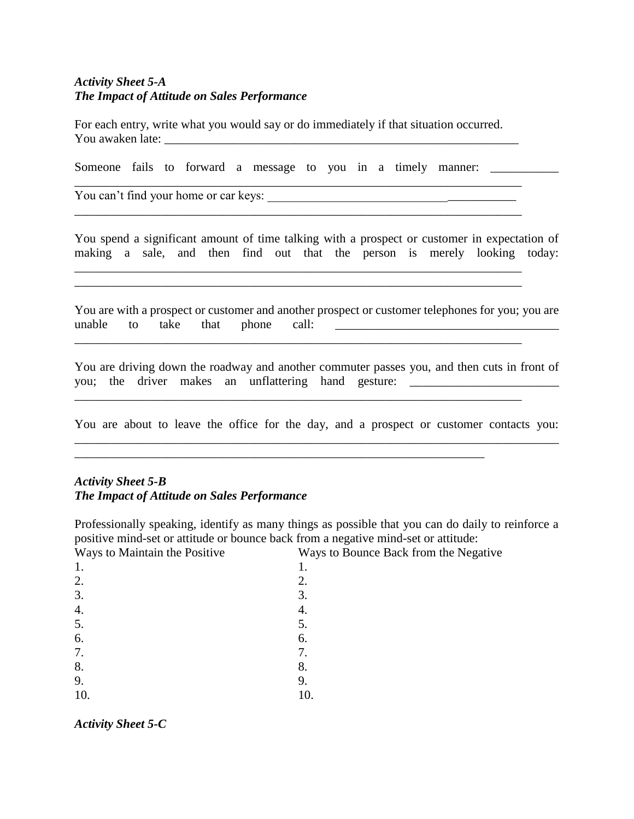## *Activity Sheet 5-A The Impact of Attitude on Sales Performance*

For each entry, write what you would say or do immediately if that situation occurred. You awaken late: \_\_\_\_\_\_\_\_\_\_\_\_\_\_\_\_\_\_\_\_\_\_\_\_\_\_\_\_\_\_\_\_\_\_\_\_\_\_\_\_\_\_\_\_\_\_\_\_\_\_\_\_\_\_\_\_\_

Someone fails to forward a message to you in a timely manner: \_\_\_\_\_\_\_\_\_\_\_\_\_\_\_\_\_\_

You can't find your home or car keys: \_\_\_\_\_\_\_\_\_\_\_\_\_\_\_\_\_\_\_\_\_\_\_\_\_\_\_\_\_\_\_\_\_\_\_\_\_\_\_\_

You spend a significant amount of time talking with a prospect or customer in expectation of making a sale, and then find out that the person is merely looking today:

\_\_\_\_\_\_\_\_\_\_\_\_\_\_\_\_\_\_\_\_\_\_\_\_\_\_\_\_\_\_\_\_\_\_\_\_\_\_\_\_\_\_\_\_\_\_\_\_\_\_\_\_\_\_\_\_\_\_\_\_\_\_\_\_\_\_\_\_\_\_\_\_

\_\_\_\_\_\_\_\_\_\_\_\_\_\_\_\_\_\_\_\_\_\_\_\_\_\_\_\_\_\_\_\_\_\_\_\_\_\_\_\_\_\_\_\_\_\_\_\_\_\_\_\_\_\_\_\_\_\_\_\_\_\_\_\_\_\_\_\_\_\_\_\_

 $\_$  . The contribution of the contribution of  $\mathcal{L}_1$  ,  $\mathcal{L}_2$  ,  $\mathcal{L}_3$  ,  $\mathcal{L}_4$  ,  $\mathcal{L}_5$  ,  $\mathcal{L}_6$  ,  $\mathcal{L}_7$  ,  $\mathcal{L}_8$  ,  $\mathcal{L}_9$  ,  $\mathcal{L}_9$  ,  $\mathcal{L}_8$  ,  $\mathcal{L}_9$  ,  $\mathcal{L}_9$  ,  $\mathcal{L}_8$  ,  $\mathcal{L}_$ 

\_\_\_\_\_\_\_\_\_\_\_\_\_\_\_\_\_\_\_\_\_\_\_\_\_\_\_\_\_\_\_\_\_\_\_\_\_\_\_\_\_\_\_\_\_\_\_\_\_\_\_\_\_\_\_\_\_\_\_\_\_\_\_\_\_\_\_\_\_\_\_\_

\_\_\_\_\_\_\_\_\_\_\_\_\_\_\_\_\_\_\_\_\_\_\_\_\_\_\_\_\_\_\_\_\_\_\_\_\_\_\_\_\_\_\_\_\_\_\_\_\_\_\_\_\_\_\_\_\_\_\_\_\_\_\_\_\_\_\_\_\_\_\_\_\_\_\_\_\_\_

You are with a prospect or customer and another prospect or customer telephones for you; you are unable to take that phone call: \_\_\_\_\_\_\_\_\_\_\_\_\_\_\_\_\_\_\_\_\_\_\_\_\_\_\_\_\_\_\_\_\_\_\_\_

You are driving down the roadway and another commuter passes you, and then cuts in front of you; the driver makes an unflattering hand gesture:

You are about to leave the office for the day, and a prospect or customer contacts you:

\_\_\_\_\_\_\_\_\_\_\_\_\_\_\_\_\_\_\_\_\_\_\_\_\_\_\_\_\_\_\_\_\_\_\_\_\_\_\_\_\_\_\_\_\_\_\_\_\_\_\_\_\_\_\_\_\_\_\_\_\_\_\_\_\_\_

#### *Activity Sheet 5-B The Impact of Attitude on Sales Performance*

Professionally speaking, identify as many things as possible that you can do daily to reinforce a positive mind-set or attitude or bounce back from a negative mind-set or attitude:

Ways to Maintain the Positive Ways to Bounce Back from the Negative 1. 1.  $2.$  2.  $3.$   $3.$ 4. 4.  $5.$   $5.$  $6.$  6. 7. 7. 8. 8. 9. 9. 10. 10.

*Activity Sheet 5-C*